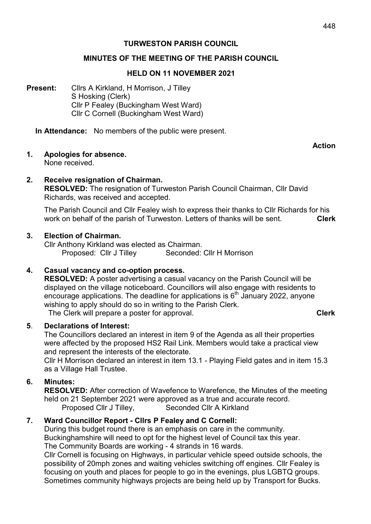# TURWESTON PARISH COUNCIL

#### MINUTES OF THE MEETING OF THE PARISH COUNCIL

#### HELD ON 11 NOVEMBER 2021

Present: Cllrs A Kirkland, H Morrison, J Tilley S Hosking (Clerk) Cllr P Fealey (Buckingham West Ward) Cllr C Cornell (Buckingham West Ward)

In Attendance: No members of the public were present.

Action

- 1. Apologies for absence. None received.
	-
- 2. Receive resignation of Chairman. RESOLVED: The resignation of Turweston Parish Council Chairman, Cllr David Richards, was received and accepted.

 The Parish Council and Cllr Fealey wish to express their thanks to Cllr Richards for his work on behalf of the parish of Turweston. Letters of thanks will be sent. **Clerk** 

#### 3. Election of Chairman.

Cllr Anthony Kirkland was elected as Chairman. Proposed: Cllr J Tilley Seconded: Cllr H Morrison

### 4. Casual vacancy and co-option process.

RESOLVED: A poster advertising a casual vacancy on the Parish Council will be displayed on the village noticeboard. Councillors will also engage with residents to encourage applications. The deadline for applications is  $6<sup>th</sup>$  January 2022, anyone wishing to apply should do so in writing to the Parish Clerk. The Clerk will prepare a poster for approval. The Clerk Clerk

#### 5. Declarations of Interest:

 The Councillors declared an interest in item 9 of the Agenda as all their properties were affected by the proposed HS2 Rail Link. Members would take a practical view and represent the interests of the electorate.

 Cllr H Morrison declared an interest in item 13.1 - Playing Field gates and in item 15.3 as a Village Hall Trustee.

#### 6. Minutes:

RESOLVED: After correction of Wavefence to Warefence, the Minutes of the meeting held on 21 September 2021 were approved as a true and accurate record. Proposed Cllr J Tilley, Seconded Cllr A Kirkland

### 7. Ward Councillor Report - Cllrs P Fealey and C Cornell:

During this budget round there is an emphasis on care in the community. Buckinghamshire will need to opt for the highest level of Council tax this year. The Community Boards are working - 4 strands in 16 wards. Cllr Cornell is focusing on Highways, in particular vehicle speed outside schools, the possibility of 20mph zones and waiting vehicles switching off engines. Cllr Fealey is focusing on youth and places for people to go in the evenings, plus LGBTQ groups. Sometimes community highways projects are being held up by Transport for Bucks.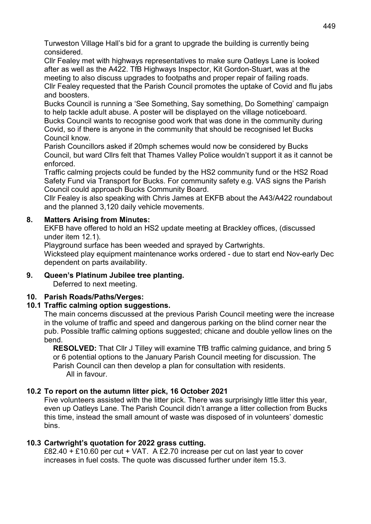Turweston Village Hall's bid for a grant to upgrade the building is currently being considered.

Cllr Fealey met with highways representatives to make sure Oatleys Lane is looked after as well as the A422. TfB Highways Inspector, Kit Gordon-Stuart, was at the meeting to also discuss upgrades to footpaths and proper repair of failing roads. Cllr Fealey requested that the Parish Council promotes the uptake of Covid and flu jabs and boosters.

Bucks Council is running a 'See Something, Say something, Do Something' campaign to help tackle adult abuse. A poster will be displayed on the village noticeboard. Bucks Council wants to recognise good work that was done in the community during Covid, so if there is anyone in the community that should be recognised let Bucks Council know.

 Parish Councillors asked if 20mph schemes would now be considered by Bucks Council, but ward Cllrs felt that Thames Valley Police wouldn't support it as it cannot be enforced.

 Traffic calming projects could be funded by the HS2 community fund or the HS2 Road Safety Fund via Transport for Bucks. For community safety e.g. VAS signs the Parish Council could approach Bucks Community Board.

 Cllr Fealey is also speaking with Chris James at EKFB about the A43/A422 roundabout and the planned 3,120 daily vehicle movements.

# 8. Matters Arising from Minutes:

EKFB have offered to hold an HS2 update meeting at Brackley offices, (discussed under item 12.1).

Playground surface has been weeded and sprayed by Cartwrights.

 Wicksteed play equipment maintenance works ordered - due to start end Nov-early Dec dependent on parts availability.

# 9. Queen's Platinum Jubilee tree planting.

Deferred to next meeting.

### 10. Parish Roads/Paths/Verges:

### 10.1 Traffic calming option suggestions.

The main concerns discussed at the previous Parish Council meeting were the increase in the volume of traffic and speed and dangerous parking on the blind corner near the pub. Possible traffic calming options suggested; chicane and double yellow lines on the bend.

 RESOLVED: That Cllr J Tilley will examine TfB traffic calming guidance, and bring 5 or 6 potential options to the January Parish Council meeting for discussion. The Parish Council can then develop a plan for consultation with residents. All in favour.

### 10.2 To report on the autumn litter pick, 16 October 2021

Five volunteers assisted with the litter pick. There was surprisingly little litter this year, even up Oatleys Lane. The Parish Council didn't arrange a litter collection from Bucks this time, instead the small amount of waste was disposed of in volunteers' domestic bins.

### 10.3 Cartwright's quotation for 2022 grass cutting.

£82.40 + £10.60 per cut + VAT. A £2.70 increase per cut on last year to cover increases in fuel costs. The quote was discussed further under item 15.3.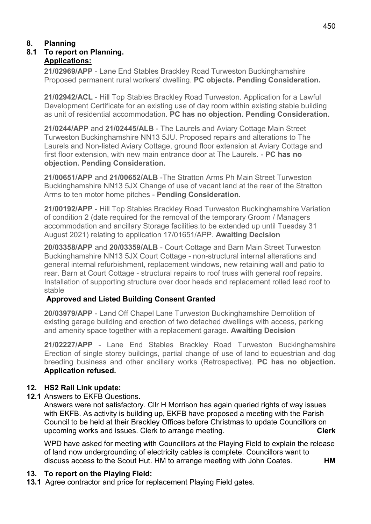# 8. Planning

#### 8.1 To report on Planning. Applications:

21/02969/APP - Lane End Stables Brackley Road Turweston Buckinghamshire Proposed permanent rural workers' dwelling. PC objects. Pending Consideration.

21/02942/ACL - Hill Top Stables Brackley Road Turweston. Application for a Lawful Development Certificate for an existing use of day room within existing stable building as unit of residential accommodation. PC has no objection. Pending Consideration.

21/0244/APP and 21/02445/ALB - The Laurels and Aviary Cottage Main Street Turweston Buckinghamshire NN13 5JU. Proposed repairs and alterations to The Laurels and Non-listed Aviary Cottage, ground floor extension at Aviary Cottage and first floor extension, with new main entrance door at The Laurels. - PC has no objection. Pending Consideration.

21/00651/APP and 21/00652/ALB -The Stratton Arms Ph Main Street Turweston Buckinghamshire NN13 5JX Change of use of vacant land at the rear of the Stratton Arms to ten motor home pitches - Pending Consideration.

 21/00192/APP - Hill Top Stables Brackley Road Turweston Buckinghamshire Variation of condition 2 (date required for the removal of the temporary Groom / Managers accommodation and ancillary Storage facilities.to be extended up until Tuesday 31 August 2021) relating to application 17/01651/APP. Awaiting Decision

20/03358/APP and 20/03359/ALB - Court Cottage and Barn Main Street Turweston Buckinghamshire NN13 5JX Court Cottage - non-structural internal alterations and general internal refurbishment, replacement windows, new retaining wall and patio to rear. Barn at Court Cottage - structural repairs to roof truss with general roof repairs. Installation of supporting structure over door heads and replacement rolled lead roof to stable

# Approved and Listed Building Consent Granted

 20/03979/APP - Land Off Chapel Lane Turweston Buckinghamshire Demolition of existing garage building and erection of two detached dwellings with access, parking and amenity space together with a replacement garage. Awaiting Decision

 21/02227/APP - Lane End Stables Brackley Road Turweston Buckinghamshire Erection of single storey buildings, partial change of use of land to equestrian and dog breeding business and other ancillary works (Retrospective). PC has no objection. Application refused.

# 12. HS2 Rail Link update:

12.1 Answers to EKFB Questions.

 Answers were not satisfactory. Cllr H Morrison has again queried rights of way issues with EKFB. As activity is building up, EKFB have proposed a meeting with the Parish Council to be held at their Brackley Offices before Christmas to update Councillors on upcoming works and issues. Clerk to arrange meeting. The contraction of the clerk

 WPD have asked for meeting with Councillors at the Playing Field to explain the release of land now undergrounding of electricity cables is complete. Councillors want to discuss access to the Scout Hut. HM to arrange meeting with John Coates. **HM** 

# 13. To report on the Playing Field:

13.1 Agree contractor and price for replacement Playing Field gates.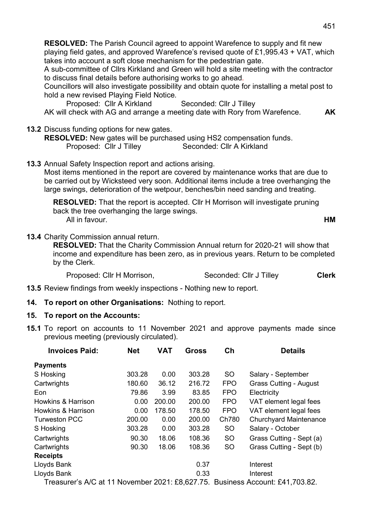RESOLVED: The Parish Council agreed to appoint Warefence to supply and fit new playing field gates, and approved Warefence's revised quote of £1,995.43 + VAT, which takes into account a soft close mechanism for the pedestrian gate.

 A sub-committee of Cllrs Kirkland and Green will hold a site meeting with the contractor to discuss final details before authorising works to go ahead.

 Councillors will also investigate possibility and obtain quote for installing a metal post to hold a new revised Playing Field Notice.

Proposed: Cllr A Kirkland Seconded: Cllr J Tilley AK will check with AG and arrange a meeting date with Rory from Warefence. AK

13.2 Discuss funding options for new gates.

RESOLVED: New gates will be purchased using HS2 compensation funds. Proposed: Cllr J Tilley Seconded: Cllr A Kirkland

13.3 Annual Safety Inspection report and actions arising.

 Most items mentioned in the report are covered by maintenance works that are due to be carried out by Wicksteed very soon. Additional items include a tree overhanging the large swings, deterioration of the wetpour, benches/bin need sanding and treating.

RESOLVED: That the report is accepted. Cllr H Morrison will investigate pruning back the tree overhanging the large swings. All in favour. **HM** 

13.4 Charity Commission annual return.

 RESOLVED: That the Charity Commission Annual return for 2020-21 will show that income and expenditure has been zero, as in previous years. Return to be completed by the Clerk.

Proposed: Cllr H Morrison, Seconded: Cllr J Tilley Clerk

- 13.5 Review findings from weekly inspections Nothing new to report.
- 14. To report on other Organisations: Nothing to report.

#### 15. To report on the Accounts:

15.1 To report on accounts to 11 November 2021 and approve payments made since previous meeting (previously circulated).

| <b>Invoices Paid:</b>                                                    | <b>Net</b> | <b>VAT</b> | <b>Gross</b> | Ch         | <b>Details</b>                |
|--------------------------------------------------------------------------|------------|------------|--------------|------------|-------------------------------|
| <b>Payments</b>                                                          |            |            |              |            |                               |
| S Hosking                                                                | 303.28     | 0.00       | 303.28       | <b>SO</b>  | Salary - September            |
| Cartwrights                                                              | 180.60     | 36.12      | 216.72       | <b>FPO</b> | <b>Grass Cutting - August</b> |
| Eon                                                                      | 79.86      | 3.99       | 83.85        | <b>FPO</b> | Electricity                   |
| <b>Howkins &amp; Harrison</b>                                            | 0.00       | 200.00     | 200.00       | <b>FPO</b> | VAT element legal fees        |
| <b>Howkins &amp; Harrison</b>                                            | 0.00       | 178.50     | 178.50       | <b>FPO</b> | VAT element legal fees        |
| <b>Turweston PCC</b>                                                     | 200.00     | 0.00       | 200.00       | Ch780      | <b>Churchyard Maintenance</b> |
| S Hosking                                                                | 303.28     | 0.00       | 303.28       | <b>SO</b>  | Salary - October              |
| Cartwrights                                                              | 90.30      | 18.06      | 108.36       | <b>SO</b>  | Grass Cutting - Sept (a)      |
| Cartwrights                                                              | 90.30      | 18.06      | 108.36       | <b>SO</b>  | Grass Cutting - Sept (b)      |
| <b>Receipts</b>                                                          |            |            |              |            |                               |
| Lloyds Bank                                                              |            |            | 0.37         |            | Interest                      |
| Lloyds Bank                                                              |            |            | 0.33         |            | Interest                      |
| $T_{\text{redu}}$ $\sim$ $\Lambda/\Omega$ of 11 Nevember 2021; CO 627 75 |            |            |              |            | D <sub>1</sub>                |

Treasurer's A/C at 11 November 2021: £8,627.75. Business Account: £41,703.82.